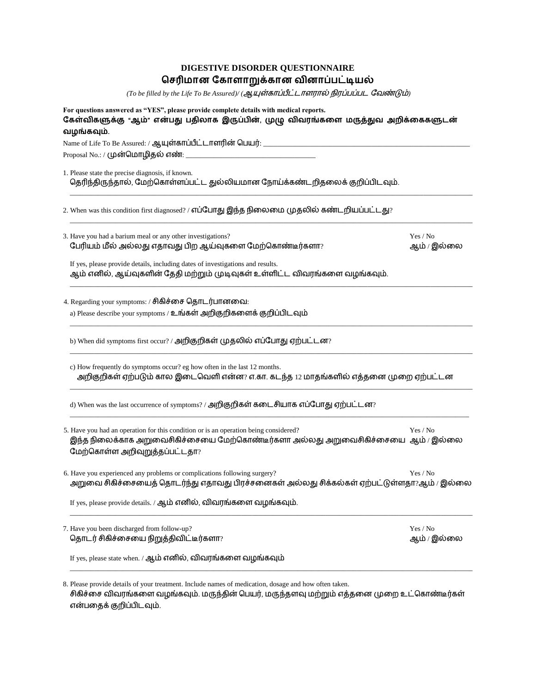| DIGESTIVE DISORDER QUESTIONNAIRE   |  |
|------------------------------------|--|
| செரிமான கோளாறுக்கான வினாப்பட்டியல் |  |

*(To be filled by the Life To Be Assured)/ ( )*

| வழங்கவும்.                                                                                                                                                                                                  |             |
|-------------------------------------------------------------------------------------------------------------------------------------------------------------------------------------------------------------|-------------|
|                                                                                                                                                                                                             |             |
|                                                                                                                                                                                                             |             |
| 1. Please state the precise diagnosis, if known.<br>தெரிந்திருந்தால், மேற்கொள்ளப்பட்ட துல்லியமான நோய்க்கண்டறிதலைக் குறிப்பிடவும்.                                                                           |             |
| 2. When was this condition first diagnosed? / எப்போது இந்த நிலைமை முதலில் கண்டறியப்பட்டது?                                                                                                                  |             |
| 3. Have you had a barium meal or any other investigations?                                                                                                                                                  | Yes / No    |
| பேரியம் மீல் அல்லது எதாவது பிற ஆய்வுகளை மேற்கொண்டீர்களா?                                                                                                                                                    | ஆம் / இல்லை |
| If yes, please provide details, including dates of investigations and results.<br>ஆம் எனில், ஆய்வுகளின் தேதி மற்றும் முடிவுகள் உள்ளிட்ட விவரங்களை வழங்கவும்.                                                |             |
| 4. Regarding your symptoms: / சிகிச்சை தொடர்பானவை:                                                                                                                                                          |             |
| a) Please describe your symptoms / உங்கள் அறிகுறிகளைக் குறிப்பிடவும்                                                                                                                                        |             |
| b) When did symptoms first occur? / அறிகுறிகள் முதலில் எப்போது ஏற்பட்டன?                                                                                                                                    |             |
| c) How frequently do symptoms occur? eg how often in the last 12 months.<br>அறிகுறிகள் ஏற்படும் கால இடைவெளி என்ன? எ.கா. கடந்த 12 மாதங்களில் எத்தனை முறை ஏற்பட்டன                                            |             |
| d) When was the last occurrence of symptoms? / அறிகுறிகள் கடைசியாக எப்போது ஏற்பட்டன?                                                                                                                        |             |
| 5. Have you had an operation for this condition or is an operation being considered?<br>இந்த நிலைக்காக அறுவைசிகிச்சையை மேற்கொண்டீர்களா அல்லது அறுவைசிகிச்சையை  ஆம் / இல்லை<br>மேற்கொள்ள அறிவுறுத்தப்பட்டதா? | Yes / No    |
| 6. Have you experienced any problems or complications following surgery?<br>அறுவை சிகிச்சையைத் தொடர்ந்து எதாவது பிரச்சனைகள் அல்லது சிக்கல்கள் ஏற்பட்டுள்ளதா?ஆம் / இல்லை                                     | Yes / No    |
| If yes, please provide details. / ஆம் எனில், விவரங்களை வழங்கவும்.                                                                                                                                           |             |
| 7. Have you been discharged from follow-up?                                                                                                                                                                 | Yes / No    |
| தொடர் சிகிச்சையை நிறுத்திவிட்டீர்களா?                                                                                                                                                                       | ஆம் / இல்லை |
| If yes, please state when. / ஆம் எனில், விவரங்களை வழங்கவும்                                                                                                                                                 |             |

சிகிச்சை விவரங்களை வழங்கவும். மருந்தின் பெயர், என்பதைக் குறிப்பிடவும்.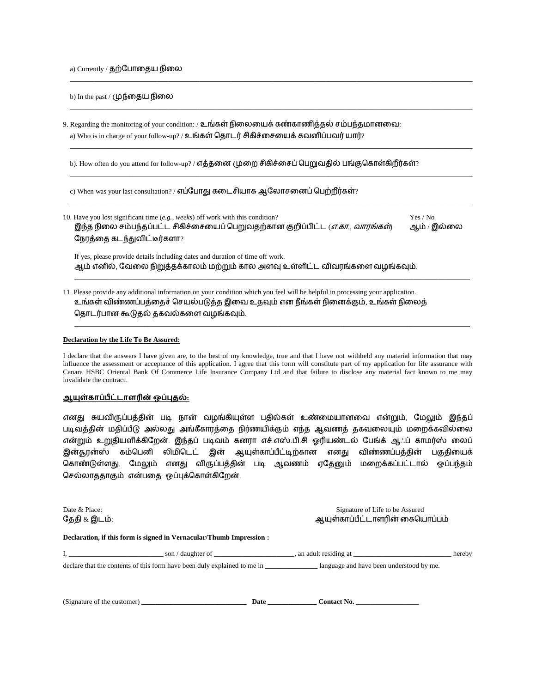a) Currently / தற்போதைய நிலை

b) In the past / முந்தைய நிலை

9. Regarding the monitoring of your condition: / உங்கள் நிலையைக் கண்காணித்தல் சம்பந்தமானவை: a) Who is in charge of your follow-up? / உங்கள் தொடர் சிகிச்சையைக் கவனிப்பவர் யார்?

b). How often do you attend for follow-up? / எத்தனை முறை சிகிச்சைப் பெறுவதில் பங்குகொள்கிறீர்கள்?

c) When was your last consultation? / எப்போது கடைசியாக ஆலோசனைப் பெற்றீர்கள்?

10. Have you lost significant time (*e.g., weeks*) off work with this condition? Yes / No இந்த நிலை சம்பந்தப்பட்ட சிகிச்சையைப் பெறுவதற்கான குறிப்பிட்ட *(எ.கா., வாரங்கள்*) ஆம் / இல்லை நேரத்தை கடந்துவிட்டீர்களா?

\_\_\_\_\_\_\_\_\_\_\_\_\_\_\_\_\_\_\_\_\_\_\_\_\_\_\_\_\_\_\_\_\_\_\_\_\_\_\_\_\_\_\_\_\_\_\_\_\_\_\_\_\_\_\_\_\_\_\_\_\_\_\_\_\_\_\_\_\_\_\_\_\_\_\_\_\_\_\_\_\_\_\_\_\_\_\_\_\_\_\_\_\_\_\_\_\_\_\_\_\_\_\_\_\_\_\_\_\_\_\_\_\_\_\_

\_\_\_\_\_\_\_\_\_\_\_\_\_\_\_\_\_\_\_\_\_\_\_\_\_\_\_\_\_\_\_\_\_\_\_\_\_\_\_\_\_\_\_\_\_\_\_\_\_\_\_\_\_\_\_\_\_\_\_\_\_\_\_\_\_\_\_\_\_\_\_\_\_\_\_\_\_\_\_\_\_\_\_\_\_\_\_\_\_\_\_\_\_\_\_\_\_\_\_\_\_\_\_\_\_\_\_\_\_\_\_\_\_\_\_

\_\_\_\_\_\_\_\_\_\_\_\_\_\_\_\_\_\_\_\_\_\_\_\_\_\_\_\_\_\_\_\_\_\_\_\_\_\_\_\_\_\_\_\_\_\_\_\_\_\_\_\_\_\_\_\_\_\_\_\_\_\_\_\_\_\_\_\_\_\_\_\_\_\_\_\_\_\_\_\_\_\_\_\_\_\_\_\_\_\_\_\_\_\_\_\_\_\_\_\_\_\_\_\_\_\_\_\_\_\_\_\_\_\_\_

\_\_\_\_\_\_\_\_\_\_\_\_\_\_\_\_\_\_\_\_\_\_\_\_\_\_\_\_\_\_\_\_\_\_\_\_\_\_\_\_\_\_\_\_\_\_\_\_\_\_\_\_\_\_\_\_\_\_\_\_\_\_\_\_\_\_\_\_\_\_\_\_\_\_\_\_\_\_\_\_\_\_\_\_\_\_\_\_\_\_\_\_\_\_\_\_\_\_\_\_\_\_\_\_\_\_\_\_\_\_\_\_\_\_\_

\_\_\_\_\_\_\_\_\_\_\_\_\_\_\_\_\_\_\_\_\_\_\_\_\_\_\_\_\_\_\_\_\_\_\_\_\_\_\_\_\_\_\_\_\_\_\_\_\_\_\_\_\_\_\_\_\_\_\_\_\_\_\_\_\_\_\_\_\_\_\_\_\_\_\_\_\_\_\_\_\_\_\_\_\_\_\_\_\_\_\_\_\_\_\_\_\_\_\_\_\_\_\_\_\_\_\_\_\_\_\_\_\_\_\_

\_\_\_\_\_\_\_\_\_\_\_\_\_\_\_\_\_\_\_\_\_\_\_\_\_\_\_\_\_\_\_\_\_\_\_\_\_\_\_\_\_\_\_\_\_\_\_\_\_\_\_\_\_\_\_\_\_\_\_\_\_\_\_\_\_\_\_\_\_\_\_\_\_\_\_\_\_\_\_\_\_\_\_\_\_\_\_\_\_\_\_\_\_\_\_\_\_\_\_\_\_\_\_\_\_\_\_\_\_\_\_\_\_

\_\_\_\_\_\_\_\_\_\_\_\_\_\_\_\_\_\_\_\_\_\_\_\_\_\_\_\_\_\_\_\_\_\_\_\_\_\_\_\_\_\_\_\_\_\_\_\_\_\_\_\_\_\_\_\_\_\_\_\_\_\_\_\_\_\_\_\_\_\_\_\_\_\_\_\_\_\_\_\_\_\_\_\_\_\_\_\_\_\_\_\_\_\_\_\_\_\_\_\_\_\_\_\_\_\_\_\_\_\_\_\_\_

If yes, please provide details including dates and duration of time off work. ஆம் எனில், வேலை நிறுத்தக்காலம் மற்றும் கால அளவு உள்ளிட்ட விவரங்களை வழங்கவும்.

11. Please provide any additional information on your condition which you feel will be helpful in processing your application. உங்கள் விண்ணப்பத்தைச் செயல்படுத்த இவை உதவும் என நீங்கள் நினைக்கும், உங்கள் நிலைத் தொடர்பான கூடுதல் தகவல்களை வழங்கவும்.

## **Declaration by the Life To Be Assured:**

I declare that the answers I have given are, to the best of my knowledge, true and that I have not withheld any material information that may influence the assessment or acceptance of this application. I agree that this form will constitute part of my application for life assurance with Canara HSBC Oriental Bank Of Commerce Life Insurance Company Ltd and that failure to disclose any material fact known to me may invalidate the contract.

## <u> ஆயுள்காப்பீட்டாளரின் ஒப்புதல்:</u>

**Declaration, if this form is signed in Vernacular/Thumb Impression :**

எனது சுயவிருப்பத்தின் படி நான் வழங்கியுள்ள பதில்கள் உண்மையானமவ என்றும், மைலும் இந்தப் படிவத்தின் மதிப்பீடு அல்லது அங்கீகாரத்தை நிர்ணயிக்கும் எந்த ஆவணத் தகவலையும் மறைக்கவில்லை என்றும் உறுதியளிக்கிறேன். இந்தப் படிவம் கனரா எச்.எஸ்.பி.சி ஓரியண்டல் பேங்க் ஆஃப் காமர்ஸ் லைப் இன்சூரன்ஸ் கம்பபனி லிைிபடட் இன் ஆயுள்காப்பீட்டிற்கான எனது விண்ணப்பத்தின் பகுதிமயக் பகாண்டுள்ளது, மைலும் எனது விருப்பத்தின் படி ஆவணம் ஏமதனும் ைமைக்கப்பட்டால் ஒப்பந்தம் செல்லாததாகும் என்பதை ஒப்புக்கொள்கிறேன்.

| Date & Place: | Signature of Life to be Assured |
|---------------|---------------------------------|
| தேதி & இடம்:  | ஆயுள்காப்பீட்டாளரின் கையொப்பம்  |

| son / daughter of                                                        | , an adult residing at                   | hereby |
|--------------------------------------------------------------------------|------------------------------------------|--------|
| declare that the contents of this form have been duly explained to me in | language and have been understood by me. |        |

| (Signature of the customer) | Date | Contact No. |
|-----------------------------|------|-------------|
|-----------------------------|------|-------------|